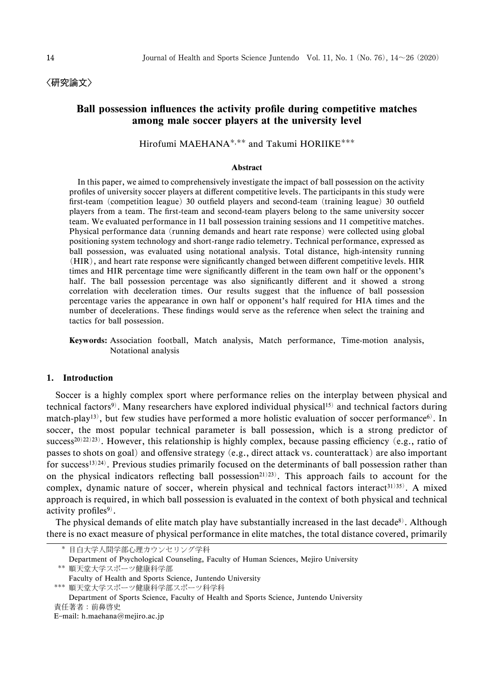〈研究論文〉

# Ball possession influences the activity profile during competitive matches among male soccer players at the university level

Hirofumi MAEHANA<sup>\*,\*\*</sup> and Takumi HORIIKE<sup>\*\*\*</sup>

#### Abstract

In this paper, we aimed to comprehensively investigate the impact of ball possession on the activity profiles of university soccer players at different competitive levels. The participants in this study were first-team (competition league) 30 outfield players and second-team (training league) 30 outfield players from a team. The first-team and second-team players belong to the same university soccer team. We evaluated performance in 11 ball possession training sessions and 11 competitive matches. Physical performance data (running demands and heart rate response) were collected using global positioning system technology and short-range radio telemetry. Technical performance, expressed as ball possession, was evaluated using notational analysis. Total distance, high-intensity running (HIR), and heart rate response were significantly changed between different competitive levels. HIR times and HIR percentage time were significantly different in the team own half or the opponent's half. The ball possession percentage was also significantly different and it showed a strong correlation with deceleration times. Our results suggest that the influence of ball possession percentage varies the appearance in own half or opponent's half required for HIA times and the number of decelerations. These findings would serve as the reference when select the training and tactics for ball possession.

Keywords: Association football, Match analysis, Match performance, Time-motion analysis, Notational analysis

### 1. Introduction

Soccer is a highly complex sport where performance relies on the interplay between physical and technical factors<sup>9)</sup>. Many researchers have explored individual physical<sup>15)</sup> and technical factors during match-play<sup>13)</sup>, but few studies have performed a more holistic evaluation of soccer performance<sup>6)</sup>. In soccer, the most popular technical parameter is ball possession, which is a strong predictor of success<sup>20)22)23)</sup>. However, this relationship is highly complex, because passing efficiency (e.g., ratio of passes to shots on goal) and offensive strategy (e.g., direct attack vs. counterattack) are also important for success<sup>13)24)</sup>. Previous studies primarily focused on the determinants of ball possession rather than on the physical indicators reflecting ball possession<sup>21)23)</sup>. This approach fails to account for the complex, dynamic nature of soccer, wherein physical and technical factors interact<sup>31)35)</sup>. A mixed approach is required, in which ball possession is evaluated in the context of both physical and technical activity profiles $9$ .

The physical demands of elite match play have substantially increased in the last decade<sup>8)</sup>. Although there is no exact measure of physical performance in elite matches, the total distance covered, primarily

順天堂大学スポーツ健康科学部スポーツ科学科

Department of Sports Science, Faculty of Health and Sports Science, Juntendo University 責任著者: 前鼻啓史

Email: h.maehana@mejiro.ac.jp

目白大学人間学部心理カウンセリング学科

Department of Psychological Counseling, Faculty of Human Sciences, Mejiro University 順天堂大学スポーツ健康科学部

Faculty of Health and Sports Science, Juntendo University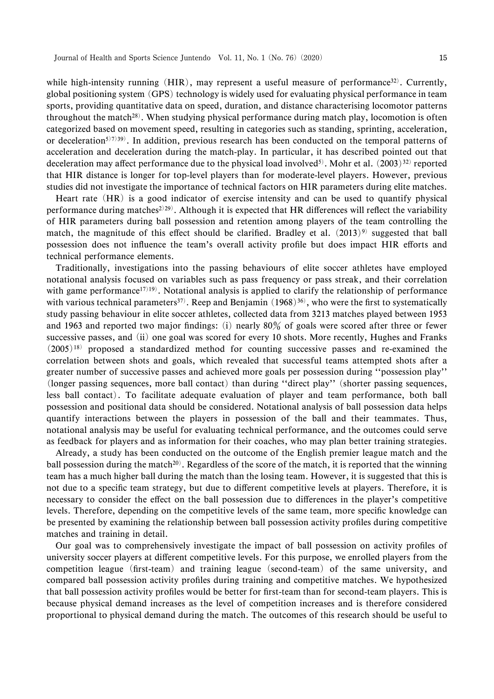while high-intensity running  $(HIR)$ , may represent a useful measure of performance<sup>32)</sup>. Currently, global positioning system (GPS) technology is widely used for evaluating physical performance in team sports, providing quantitative data on speed, duration, and distance characterising locomotor patterns throughout the match<sup>28)</sup>. When studying physical performance during match play, locomotion is often categorized based on movement speed, resulting in categories such as standing, sprinting, acceleration, or deceleration<sup>5)7)39</sup>). In addition, previous research has been conducted on the temporal patterns of acceleration and deceleration during the match-play. In particular, it has described pointed out that deceleration may affect performance due to the physical load involved<sup>5)</sup>. Mohr et al.  $(2003)^{32}$  reported that HIR distance is longer for top-level players than for moderate-level players. However, previous studies did not investigate the importance of technical factors on HIR parameters during elite matches.

Heart rate (HR) is a good indicator of exercise intensity and can be used to quantify physical performance during matches<sup>2)29)</sup>. Although it is expected that HR differences will reflect the variability of HIR parameters during ball possession and retention among players of the team controlling the match, the magnitude of this effect should be clarified. Bradley et al.  $(2013)^9$  suggested that ball possession does not influence the team's overall activity profile but does impact HIR efforts and technical performance elements.

Traditionally, investigations into the passing behaviours of elite soccer athletes have employed notational analysis focused on variables such as pass frequency or pass streak, and their correlation with game performance<sup>17)19)</sup>. Notational analysis is applied to clarify the relationship of performance with various technical parameters<sup>37)</sup>. Reep and Benjamin  $(1968)^{36}$ , who were the first to systematically study passing behaviour in elite soccer athletes, collected data from 3213 matches played between 1953 and 1963 and reported two major findings: (i) nearly  $80\%$  of goals were scored after three or fewer successive passes, and (ii) one goal was scored for every 10 shots. More recently, Hughes and Franks  $(2005)^{18}$  proposed a standardized method for counting successive passes and re-examined the correlation between shots and goals, which revealed that successful teams attempted shots after a greater number of successive passes and achieved more goals per possession during "possession play" (longer passing sequences, more ball contact) than during "direct play" (shorter passing sequences, less ball contact). To facilitate adequate evaluation of player and team performance, both ball possession and positional data should be considered. Notational analysis of ball possession data helps quantify interactions between the players in possession of the ball and their teammates. Thus, notational analysis may be useful for evaluating technical performance, and the outcomes could serve as feedback for players and as information for their coaches, who may plan better training strategies.

Already, a study has been conducted on the outcome of the English premier league match and the ball possession during the match<sup>20)</sup>. Regardless of the score of the match, it is reported that the winning team has a much higher ball during the match than the losing team. However, it is suggested that this is not due to a specific team strategy, but due to different competitive levels at players. Therefore, it is necessary to consider the effect on the ball possession due to differences in the player's competitive levels. Therefore, depending on the competitive levels of the same team, more specific knowledge can be presented by examining the relationship between ball possession activity profiles during competitive matches and training in detail.

Our goal was to comprehensively investigate the impact of ball possession on activity profiles of university soccer players at different competitive levels. For this purpose, we enrolled players from the competition league (first-team) and training league (second-team) of the same university, and compared ball possession activity profiles during training and competitive matches. We hypothesized that ball possession activity profiles would be better for first-team than for second-team players. This is because physical demand increases as the level of competition increases and is therefore considered proportional to physical demand during the match. The outcomes of this research should be useful to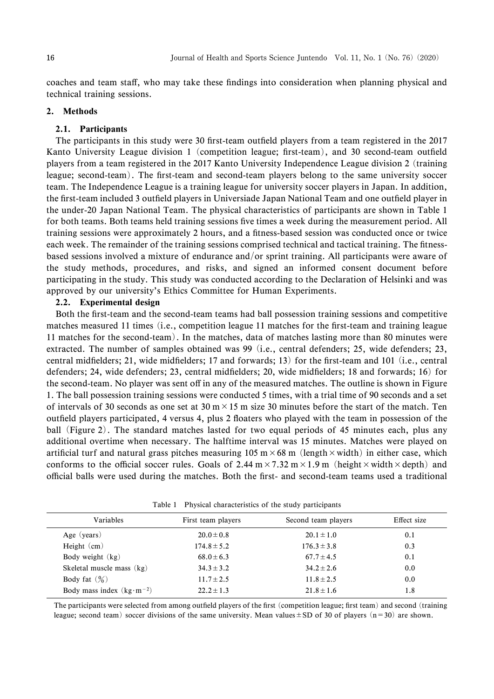coaches and team staff, who may take these findings into consideration when planning physical and technical training sessions.

### 2. Methods

### 2.1. Participants

The participants in this study were 30 first-team outfield players from a team registered in the 2017 Kanto University League division 1 (competition league; first-team), and 30 second-team outfield players from a team registered in the 2017 Kanto University Independence League division 2 (training league; second-team). The first-team and second-team players belong to the same university soccer team. The Independence League is a training league for university soccer players in Japan. In addition, the first-team included 3 outfield players in Universiade Japan National Team and one outfield player in the under-20 Japan National Team. The physical characteristics of participants are shown in Table 1 for both teams. Both teams held training sessions five times a week during the measurement period. All training sessions were approximately 2 hours, and a fitness-based session was conducted once or twice each week. The remainder of the training sessions comprised technical and tactical training. The fitnessbased sessions involved a mixture of endurance and/or sprint training. All participants were aware of the study methods, procedures, and risks, and signed an informed consent document before participating in the study. This study was conducted according to the Declaration of Helsinki and was approved by our university's Ethics Committee for Human Experiments.

### 2.2. Experimental design

Both the first-team and the second-team teams had ball possession training sessions and competitive matches measured 11 times (i.e., competition league 11 matches for the first-team and training league 11 matches for the second-team). In the matches, data of matches lasting more than 80 minutes were extracted. The number of samples obtained was 99 (i.e., central defenders; 25, wide defenders; 23, central midfielders; 21, wide midfielders; 17 and forwards; 13) for the first-team and 101 (i.e., central defenders; 24, wide defenders; 23, central midfielders; 20, wide midfielders; 18 and forwards; 16) for the second-team. No player was sent off in any of the measured matches. The outline is shown in Figure 1. The ball possession training sessions were conducted 5 times, with a trial time of 90 seconds and a set of intervals of 30 seconds as one set at 30 m $\times$  15 m size 30 minutes before the start of the match. Ten outfield players participated, 4 versus 4, plus 2 floaters who played with the team in possession of the ball (Figure 2). The standard matches lasted for two equal periods of 45 minutes each, plus any additional overtime when necessary. The halftime interval was 15 minutes. Matches were played on artificial turf and natural grass pitches measuring 105 m  $\times$  68 m (length  $\times$  width) in either case, which conforms to the official soccer rules. Goals of 2.44  $m \times 7.32$  m $\times$  1.9 m (height  $\times$  width  $\times$  depth) and official balls were used during the matches. Both the first- and second-team teams used a traditional

| Variables                           | First team players | Second team players | Effect size |  |
|-------------------------------------|--------------------|---------------------|-------------|--|
| Age (years)                         | $20.0 \pm 0.8$     | $20.1 \pm 1.0$      | 0.1         |  |
| Height $(cm)$                       | $174.8 \pm 5.2$    | $176.3 \pm 3.8$     | 0.3         |  |
| Body weight $(kg)$                  | $68.0 \pm 6.3$     | $67.7 \pm 4.5$      | 0.1         |  |
| Skeletal muscle mass $(kg)$         | $34.3 \pm 3.2$     | $34.2 \pm 2.6$      | 0.0         |  |
| Body fat $(\frac{9}{6})$            | $11.7 \pm 2.5$     | $11.8 \pm 2.5$      | 0.0         |  |
| Body mass index $(kg \cdot m^{-2})$ | $22.2 + 1.3$       | $21.8 \pm 1.6$      | 1.8         |  |
|                                     |                    |                     |             |  |

Table 1 Physical characteristics of the study participants

The participants were selected from among outfield players of the first (competition league; first team) and second (training league; second team) soccer divisions of the same university. Mean values  $\pm$  SD of 30 of players (n=30) are shown.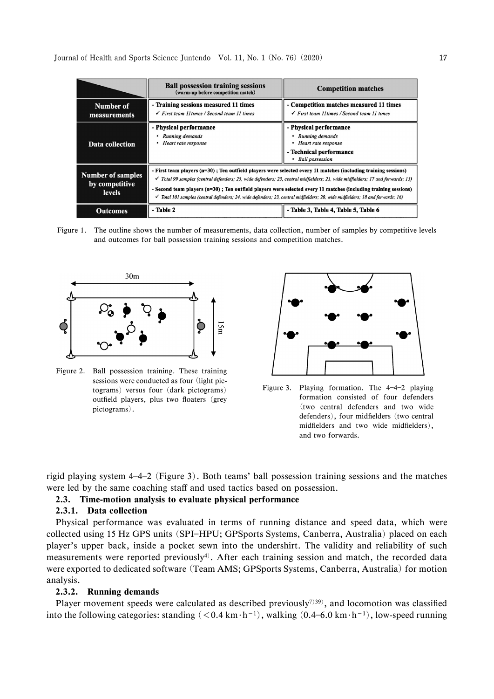|                                                             | <b>Ball possession training sessions</b><br>(warm-up before competition match)                                                                                                                                                                                                                                                                                                                                                                                                                                        | <b>Competition matches</b>                                                                                            |  |
|-------------------------------------------------------------|-----------------------------------------------------------------------------------------------------------------------------------------------------------------------------------------------------------------------------------------------------------------------------------------------------------------------------------------------------------------------------------------------------------------------------------------------------------------------------------------------------------------------|-----------------------------------------------------------------------------------------------------------------------|--|
| Number of<br>measurements                                   | - Training sessions measured 11 times<br>$\checkmark$ First team II times / Second team II times                                                                                                                                                                                                                                                                                                                                                                                                                      | - Competition matches measured 11 times<br>$\checkmark$ First team 11 times / Second team 11 times                    |  |
| Data collection                                             | - Physical performance<br>Running demands<br>Heart rate response                                                                                                                                                                                                                                                                                                                                                                                                                                                      | - Physical performance<br>Running demands<br>Heart rate response<br>- Technical performance<br><b>Ball</b> possession |  |
| <b>Number of samples</b><br>by competitive<br><b>levels</b> | - First team players $(n=30)$ ; Ten outfield players were selected every 11 matches (including training sessions)<br>$\checkmark$ Total 99 samples (central defenders; 25, wide defenders; 23, central midfielders; 21, wide midfielders; 17 and forwards; 13)<br>- Second team players $(n=30)$ ; Ten outfield players were selected every 11 matches (including training sessions)<br>Total 101 samples (central defenders; 24, wide defenders; 23, central midfielders; 20, wide midfielders; 18 and forwards; 16) |                                                                                                                       |  |
| <b>Outcomes</b>                                             | - Table 2<br>- Table 3, Table 4, Table 5, Table 6                                                                                                                                                                                                                                                                                                                                                                                                                                                                     |                                                                                                                       |  |

Figure 1. The outline shows the number of measurements, data collection, number of samples by competitive levels and outcomes for ball possession training sessions and competition matches.



Figure 2. Ball possession training. These training sessions were conducted as four (light pictograms) versus four (dark pictograms) outfield players, plus two floaters (grey pictograms).



Figure 3. Playing formation. The  $4-4-2$  playing formation consisted of four defenders (two central defenders and two wide defenders), four midfielders (two central midfielders and two wide midfielders), and two forwards.

rigid playing system 442 (Figure 3). Both teams' ball possession training sessions and the matches were led by the same coaching staff and used tactics based on possession.

### 2.3. Time-motion analysis to evaluate physical performance

### 2.3.1. Data collection

Physical performance was evaluated in terms of running distance and speed data, which were collected using 15 Hz GPS units (SPI-HPU; GPSports Systems, Canberra, Australia) placed on each player's upper back, inside a pocket sewn into the undershirt. The validity and reliability of such measurements were reported previously<sup>4)</sup>. After each training session and match, the recorded data were exported to dedicated software (Team AMS; GPSports Systems, Canberra, Australia) for motion analysis.

#### 2.3.2. Running demands

Player movement speeds were calculated as described previously<sup>7)39)</sup>, and locomotion was classified into the following categories: standing  $(< 0.4 \text{ km} \cdot \text{h}^{-1})$ , walking  $(0.4 - 6.0 \text{ km} \cdot \text{h}^{-1})$ , low-speed running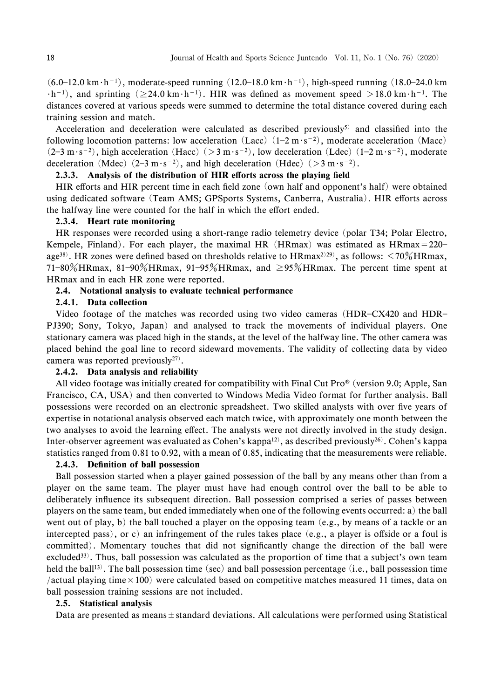$(6.0-12.0 \text{ km} \cdot \text{h}^{-1})$ , moderate-speed running  $(12.0-18.0 \text{ km} \cdot \text{h}^{-1})$ , high-speed running  $(18.0-24.0 \text{ km})$  $\cdot$ h<sup>-1</sup>), and sprinting ( $\geq$ 24.0 km·h<sup>-1</sup>). HIR was defined as movement speed  $>$ 18.0 km·h<sup>-1</sup>. The distances covered at various speeds were summed to determine the total distance covered during each training session and match.

Acceleration and deceleration were calculated as described previously<sup>5)</sup> and classified into the following locomotion patterns: low acceleration  $(Lacc)$   $(1-2 m \cdot s^{-2})$ , moderate acceleration  $(Macc)$  $(2-3 \text{ m} \cdot \text{s}^{-2})$ , high acceleration  $(\text{Hacc})$   $(>3 \text{ m} \cdot \text{s}^{-2})$ , low deceleration  $(\text{Ldec})$   $(1-2 \text{ m} \cdot \text{s}^{-2})$ , moderate deceleration (Mdec)  $(2-3 \text{ m} \cdot \text{s}^{-2})$ , and high deceleration (Hdec)  $(>3 \text{ m} \cdot \text{s}^{-2})$ .

## 2.3.3. Analysis of the distribution of HIR efforts across the playing field

HIR efforts and HIR percent time in each field zone (own half and opponent's half) were obtained using dedicated software (Team AMS; GPSports Systems, Canberra, Australia). HIR efforts across the halfway line were counted for the half in which the effort ended.

### 2.3.4. Heart rate monitoring

HR responses were recorded using a short-range radio telemetry device (polar T34; Polar Electro, Kempele, Finland). For each player, the maximal HR (HRmax) was estimated as  $HRmax = 220$ age<sup>38)</sup>. HR zones were defined based on thresholds relative to HRmax<sup>2)29)</sup>, as follows: <70%HRmax, 71-80%HRmax, 81-90%HRmax, 91-95%HRmax, and  $\geq$ 95%HRmax. The percent time spent at HRmax and in each HR zone were reported.

#### 2.4. Notational analysis to evaluate technical performance

#### 2.4.1. Data collection

Video footage of the matches was recorded using two video cameras (HDR-CX420 and HDR-PJ390; Sony, Tokyo, Japan) and analysed to track the movements of individual players. One stationary camera was placed high in the stands, at the level of the halfway line. The other camera was placed behind the goal line to record sideward movements. The validity of collecting data by video camera was reported previously<sup>27)</sup>.

### 2.4.2. Data analysis and reliability

All video footage was initially created for compatibility with Final Cut  $Pro^{\circ}$  (version 9.0; Apple, San Francisco, CA, USA) and then converted to Windows Media Video format for further analysis. Ball possessions were recorded on an electronic spreadsheet. Two skilled analysts with over five years of expertise in notational analysis observed each match twice, with approximately one month between the two analyses to avoid the learning effect. The analysts were not directly involved in the study design. Inter-observer agreement was evaluated as Cohen's kappa<sup>12)</sup>, as described previously<sup>26)</sup>. Cohen's kappa statistics ranged from 0.81 to 0.92, with a mean of 0.85, indicating that the measurements were reliable.

# 2.4.3. Definition of ball possession

Ball possession started when a player gained possession of the ball by any means other than from a player on the same team. The player must have had enough control over the ball to be able to deliberately influence its subsequent direction. Ball possession comprised a series of passes between players on the same team, but ended immediately when one of the following events occurred: a) the ball went out of play, b) the ball touched a player on the opposing team (e.g., by means of a tackle or an intercepted pass), or c) an infringement of the rules takes place  $(e.g., a player is offset or a four is$ committed). Momentary touches that did not significantly change the direction of the ball were excluded<sup>33)</sup>. Thus, ball possession was calculated as the proportion of time that a subject's own team held the ball<sup>13)</sup>. The ball possession time (sec) and ball possession percentage (i.e., ball possession time /actual playing time  $\times$  100) were calculated based on competitive matches measured 11 times, data on ball possession training sessions are not included.

#### 2.5. Statistical analysis

Data are presented as means  $\pm$  standard deviations. All calculations were performed using Statistical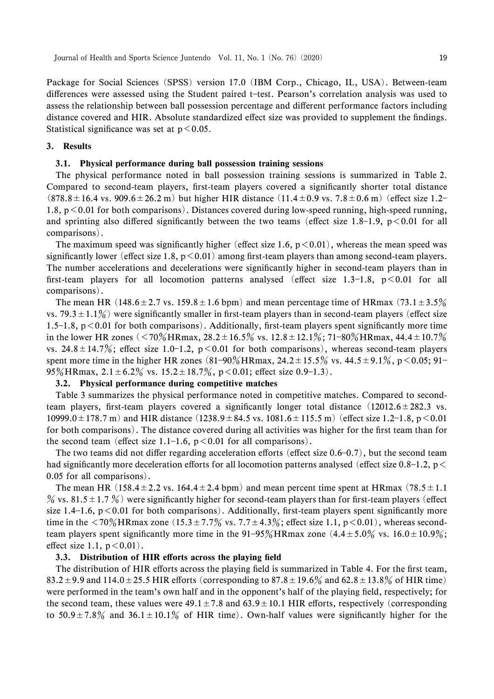Package for Social Sciences (SPSS) version 17.0 (IBM Corp., Chicago, IL, USA). Between-team differences were assessed using the Student paired t-test. Pearson's correlation analysis was used to assess the relationship between ball possession percentage and different performance factors including distance covered and HIR. Absolute standardized effect size was provided to supplement the findings. Statistical significance was set at  $p < 0.05$ .

#### 3. Results

### 3.1. Physical performance during ball possession training sessions

The physical performance noted in ball possession training sessions is summarized in Table 2. Compared to second-team players, first-team players covered a significantly shorter total distance  $(878.8 \pm 16.4 \text{ vs. } 909.6 \pm 26.2 \text{ m})$  but higher HIR distance  $(11.4 \pm 0.9 \text{ vs. } 7.8 \pm 0.6 \text{ m})$  (effect size 1.2-1.8, p<0.01 for both comparisons). Distances covered during low-speed running, high-speed running, and sprinting also differed significantly between the two teams (effect size 1.8-1.9,  $p < 0.01$  for all comparisons).

The maximum speed was significantly higher (effect size 1.6,  $p < 0.01$ ), whereas the mean speed was significantly lower (effect size 1.8,  $p < 0.01$ ) among first-team players than among second-team players. The number accelerations and decelerations were significantly higher in second-team players than in first-team players for all locomotion patterns analysed (effect size 1.3–1.8,  $p < 0.01$  for all comparisons).

The mean HR (148.6 $\pm$ 2.7 vs. 159.8 $\pm$ 1.6 bpm) and mean percentage time of HRmax (73.1 $\pm$ 3.5%) vs. 79.3 $\pm$ 1.1%) were significantly smaller in first-team players than in second-team players (effect size 1.5–1.8,  $p < 0.01$  for both comparisons). Additionally, first-team players spent significantly more time in the lower HR zones (<70% HRmax,  $28.2 \pm 16.5\%$  vs.  $12.8 \pm 12.1\%$ ; 71-80% HRmax,  $44.4 \pm 10.7\%$ vs.  $24.8 \pm 14.7\%$ ; effect size 1.0-1.2, p < 0.01 for both comparisons), whereas second-team players spent more time in the higher HR zones  $(81-90\% \text{ HRmax}, 24.2 \pm 15.5\% \text{ vs. } 44.5 \pm 9.1\%, \text{ p} < 0.05; 91-$ 95% HRmax,  $2.1 \pm 6.2$ % vs.  $15.2 \pm 18.7$ %,  $p < 0.01$ ; effect size 0.9-1.3).

### 3.2. Physical performance during competitive matches

Table 3 summarizes the physical performance noted in competitive matches. Compared to secondteam players, first-team players covered a significantly longer total distance  $(12012.6 \pm 282.3 \text{ vs.})$ 10999.0  $\pm$  178.7 m) and HIR distance (1238.9  $\pm$  84.5 vs. 1081.6  $\pm$  115.5 m) (effect size 1.2–1.8, p < 0.01 for both comparisons). The distance covered during all activities was higher for the first team than for the second team (effect size 1.1–1.6,  $p < 0.01$  for all comparisons).

The two teams did not differ regarding acceleration efforts (effect size  $0.6-0.7$ ), but the second team had significantly more deceleration efforts for all locomotion patterns analysed (effect size 0.8–1.2, p  $\leq$ 0.05 for all comparisons).

The mean HR (158.4 $\pm$ 2.2 vs. 164.4 $\pm$ 2.4 bpm) and mean percent time spent at HRmax (78.5 $\pm$ 1.1  $\%$  vs. 81.5 ± 1.7  $\%$ ) were significantly higher for second-team players than for first-team players (effect size 1.4–1.6,  $p < 0.01$  for both comparisons). Additionally, first-team players spent significantly more time in the  $\langle 70\%$ HRmax zone  $(15.3 \pm 7.7\%$  vs.  $7.7 \pm 4.3\%$ ; effect size 1.1, p $\langle 0.01 \rangle$ , whereas secondteam players spent significantly more time in the 91–95% HRmax zone  $(4.4 \pm 5.0\% \text{ vs. } 16.0 \pm 10.9\%);$ effect size 1.1,  $p < 0.01$ ).

### 3.3. Distribution of HIR efforts across the playing field

The distribution of HIR efforts across the playing field is summarized in Table 4. For the first team, 83.2  $\pm$  9.9 and 114.0  $\pm$  25.5 HIR efforts (corresponding to 87.8  $\pm$  19.6% and 62.8  $\pm$  13.8% of HIR time) were performed in the team's own half and in the opponent's half of the playing field, respectively; for the second team, these values were  $49.1 \pm 7.8$  and  $63.9 \pm 10.1$  HIR efforts, respectively (corresponding to  $50.9 \pm 7.8\%$  and  $36.1 \pm 10.1\%$  of HIR time). Own-half values were significantly higher for the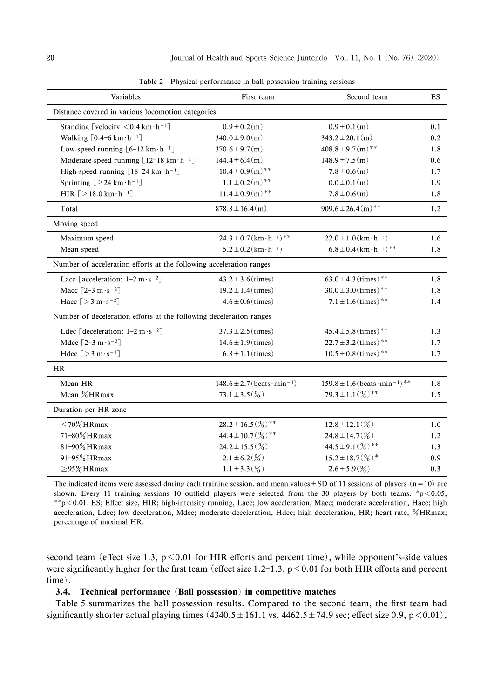| Variables                                                           | First team                                   | Second team                                                | ES  |
|---------------------------------------------------------------------|----------------------------------------------|------------------------------------------------------------|-----|
| Distance covered in various locomotion categories                   |                                              |                                                            |     |
| Standing [velocity $\leq 0.4$ km $\cdot$ h <sup>-1</sup> ]          | $0.9 \pm 0.2(m)$                             | $0.9 \pm 0.1(m)$                                           | 0.1 |
| Walking $[0.4-6 \text{ km} \cdot \text{h}^{-1}]$                    | $340.0 \pm 9.0(m)$                           | $343.2 \pm 20.1(m)$                                        | 0.2 |
| Low-speed running $[6-12 \text{ km} \cdot \text{h}^{-1}]$           | $370.6 \pm 9.7(m)$                           | $408.8 \pm 9.7(m)$ **                                      | 1.8 |
| Moderate-speed running $[12-18 \text{ km} \cdot \text{h}^{-1}]$     | $144.4 \pm 6.4(m)$                           | $148.9 \pm 7.5(m)$                                         | 0.6 |
| High-speed running $[18-24 \text{ km} \cdot \text{h}^{-1}]$         | $10.4 \pm 0.9(m)$ **                         | $7.8 \pm 0.6(m)$                                           | 1.7 |
| Sprinting $[ \geq 24 \text{ km} \cdot \text{h}^{-1} ]$              | $1.1 \pm 0.2(m)$ **                          | $0.0 \pm 0.1(m)$                                           | 1.9 |
| HIR $[>18.0 \text{ km} \cdot \text{h}^{-1}]$                        | $11.4 \pm 0.9(m)$ **                         | $7.8 \pm 0.6(m)$                                           | 1.8 |
| Total                                                               | $878.8 \pm 16.4(m)$                          | $909.6 \pm 26.4 \, (\mathrm{m})$ **                        | 1.2 |
| Moving speed                                                        |                                              |                                                            |     |
| Maximum speed                                                       | $24.3 \pm 0.7 (km \cdot h^{-1})$ **          | $22.0 \pm 1.0 (km \cdot h^{-1})$                           | 1.6 |
| Mean speed                                                          | $5.2 \pm 0.2 (km \cdot h^{-1})$              | $6.8 \pm 0.4$ (km $\cdot$ h <sup>-1</sup> ) <sup>**</sup>  | 1.8 |
| Number of acceleration efforts at the following acceleration ranges |                                              |                                                            |     |
| Lacc [acceleration: $1-2 \text{ m} \cdot \text{s}^{-2}$ ]           | $43.2 \pm 3.6$ (times)                       | $63.0 \pm 4.3$ (times) <sup>**</sup>                       | 1.8 |
| Macc $[2-3 \text{ m} \cdot \text{s}^{-2}]$                          | $19.2 \pm 1.4$ (times)                       | $30.0 \pm 3.0$ (times) <sup>**</sup>                       | 1.8 |
| Hacc $[>3 \text{ m} \cdot \text{s}^{-2}]$                           | $4.6 \pm 0.6$ (times)                        | $7.1 \pm 1.6$ (times) <sup>**</sup>                        | 1.4 |
| Number of deceleration efforts at the following deceleration ranges |                                              |                                                            |     |
| Ldec [deceleration: $1-2 \text{ m} \cdot \text{s}^{-2}$ ]           | $37.3 \pm 2.5$ (times)                       | $45.4 \pm 5.8$ (times) <sup>**</sup>                       | 1.3 |
| Mdec $\lceil 2-3 \text{ m} \cdot \text{s}^{-2} \rceil$              | $14.6 \pm 1.9$ (times)                       | $22.7 \pm 3.2$ (times)**                                   | 1.7 |
| Hdec $[>3 \text{ m} \cdot \text{s}^{-2}]$                           | $6.8 \pm 1.1$ (times)                        | $10.5 \pm 0.8$ (times)**                                   | 1.7 |
| <b>HR</b>                                                           |                                              |                                                            |     |
| Mean HR                                                             | $148.6 \pm 2.7$ (beats · min <sup>-1</sup> ) | $159.8 \pm 1.6$ (beats · min <sup>-1</sup> ) <sup>**</sup> | 1.8 |
| Mean %HRmax                                                         | $73.1 \pm 3.5\,(%)$                          | $79.3 \pm 1.1$ $\left(\frac{9}{10}\right)$ **              | 1.5 |
| Duration per HR zone                                                |                                              |                                                            |     |
| $<$ 70% HRmax                                                       | $28.2 \pm 16.5$ (%)**                        | $12.8 \pm 12.1\,(\%)$                                      | 1.0 |
| 71-80% HRmax                                                        | $44.4 \pm 10.7$ (%) <sup>**</sup>            | $24.8 \pm 14.7\,($ %)                                      | 1.2 |
| 81-90% HRmax                                                        | $24.2 \pm 15.5$ (%)                          | $44.5 \pm 9.1(\frac{0}{0})$ **                             | 1.3 |
| 91-95% HRmax                                                        | $2.1 \pm 6.2(\%)$                            | $15.2 \pm 18.7(\frac{9}{6})$ *                             | 0.9 |
| $\geq$ 95%HRmax                                                     | $1.1 \pm 3.3$ (%)                            | $2.6 \pm 5.9$ (%)                                          | 0.3 |

Table 2 Physical performance in ball possession training sessions

The indicated items were assessed during each training session, and mean values  $\pm$  SD of 11 sessions of players (n=10) are shown. Every 11 training sessions 10 outfield players were selected from the 30 players by both teams. \*p<0.05,  $*$ <sup>\*</sup> $p$  < 0.01. ES; Effect size, HIR; high-intensity running, Lacc; low acceleration, Macc; moderate acceleration, Hacc; high acceleration, Ldec; low deceleration, Mdec; moderate deceleration, Hdec; high deceleration, HR; heart rate, %HRmax; percentage of maximal HR.

second team (effect size 1.3,  $p < 0.01$  for HIR efforts and percent time), while opponent's-side values were significantly higher for the first team (effect size 1.2–1.3,  $p < 0.01$  for both HIR efforts and percent time).

### 3.4. Technical performance (Ball possession) in competitive matches

Table 5 summarizes the ball possession results. Compared to the second team, the first team had significantly shorter actual playing times  $(4340.5 \pm 161.1 \text{ vs. } 4462.5 \pm 74.9 \text{ sec}$ ; effect size 0.9, p  $\leq 0.01$ ),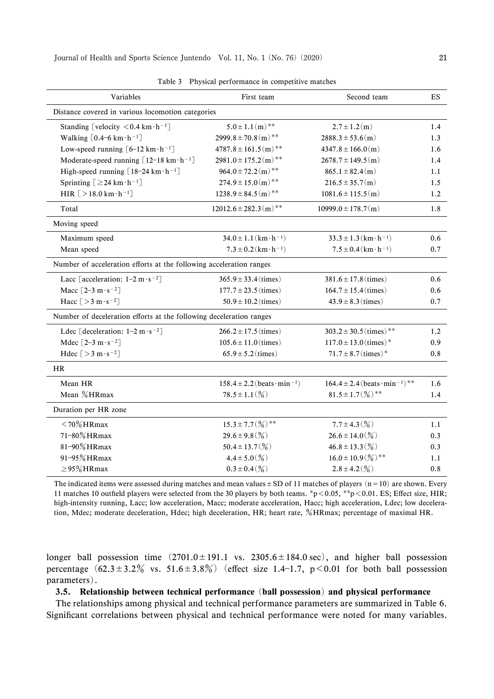| Distance covered in various locomotion categories<br>$5.0 \pm 1.1(m)$ **<br>$2.7 \pm 1.2(m)$<br>Standing [velocity $\leq 0.4$ km $\cdot$ h <sup>-1</sup> ]<br>1.4<br>$2999.8 \pm 70.8(m)$ **<br>Walking $[0.4-6 \text{ km} \cdot \text{h}^{-1}]$<br>$2888.3 \pm 53.6(m)$<br>1.3<br>$4787.8 \pm 161.5(m)$ **<br>Low-speed running $[6-12 \text{ km} \cdot \text{h}^{-1}]$<br>$4347.8 \pm 166.0(m)$<br>1.6<br>$2981.0 \pm 175.2(m)$ **<br>Moderate-speed running $[12-18 \text{ km} \cdot \text{h}^{-1}]$<br>$2678.7 \pm 149.5 \, (\mathrm{m})$<br>1.4<br>$964.0 \pm 72.2(m)$ **<br>High-speed running $[18-24 \text{ km} \cdot \text{h}^{-1}]$<br>$865.1 \pm 82.4(m)$<br>1.1<br>$274.9 \pm 15.0(m)$ **<br>Sprinting $[ \geq 24 \text{ km} \cdot \text{h}^{-1} ]$<br>$216.5 \pm 35.7(m)$<br>1.5<br>$1238.9 \pm 84.5(m)$ **<br>HIR $\lceil > 18.0 \text{ km} \cdot \text{h}^{-1} \rceil$<br>$1081.6 \pm 115.5$ (m)<br>1.2<br>$12012.6 \pm 282.3 \, (m)$ **<br>$10999.0 \pm 178.7(m)$<br>1.8<br>Total<br>Moving speed<br>$34.0 \pm 1.1$ (km·h <sup>-1</sup> )<br>$33.3 \pm 1.3 \, (\text{km} \cdot \text{h}^{-1})$<br>Maximum speed<br>$0.6^{\circ}$<br>$7.3 \pm 0.2 (km \cdot h^{-1})$<br>$7.5 \pm 0.4 (km \cdot h^{-1})$<br>Mean speed<br>0.7<br>Number of acceleration efforts at the following acceleration ranges<br>Lacc [acceleration: $1-2$ m $\cdot$ s <sup>-2</sup> ]<br>$365.9 \pm 33.4$ (times)<br>$381.6 \pm 17.8$ (times)<br>0.6<br>Macc $[2-3 \text{ m} \cdot \text{s}^{-2}]$<br>$177.7 \pm 23.5$ (times)<br>$164.7 \pm 15.4$ (times)<br>0.6<br>Hacc $[>3 \text{ m} \cdot \text{s}^{-2}]$<br>$50.9 \pm 10.2$ (times)<br>$43.9 \pm 8.3$ (times)<br>0.7<br>Number of deceleration efforts at the following deceleration ranges<br>Ldec [deceleration: $1-2$ m $\cdot$ s <sup>-2</sup> ]<br>$303.2 \pm 30.5$ (times) <sup>**</sup><br>$266.2 \pm 17.5$ (times)<br>1.2<br>$117.0 \pm 13.0$ (times) *<br>Mdec $\lceil 2-3 \text{ m} \cdot \text{s}^{-2} \rceil$<br>$105.6 \pm 11.0$ (times)<br>0.9<br>$71.7 \pm 8.7$ (times)*<br>Hdec $[>3 \text{ m} \cdot \text{s}^{-2}]$<br>$65.9 \pm 5.2$ (times)<br>0.8<br><b>HR</b><br>$164.4 \pm 2.4$ (beats · min <sup>-1</sup> ) <sup>**</sup><br>$158.4 \pm 2.2$ (beats · min <sup>-1</sup> )<br>Mean HR<br>1.6<br>$81.5 \pm 1.7(\frac{9}{6})$ **<br>Mean %HRmax<br>$78.5 \pm 1.1(\%)$<br>1.4<br>Duration per HR zone<br>$15.3 \pm 7.7$ $\left(\frac{9}{9}\right)$ **<br>$<$ 70% HRmax<br>$7.7 \pm 4.3(\%)$<br>1.1<br>71-80% HRmax<br>$29.6 \pm 9.8$ (%)<br>$26.6 \pm 14.0(\%)$<br>0.3<br>81-90% HRmax<br>$50.4 \pm 13.7(\%)$<br>$46.8 \pm 13.3\,(%)$<br>0.3<br>$16.0 \pm 10.9$ (%) <sup>**</sup><br>91-95% HRmax<br>$4.4 \pm 5.0(\frac{9}{6})$<br>1.1<br>$\geq$ 95%HRmax<br>$2.8 \pm 4.2(\%)$<br>$0.3 \pm 0.4$ (%)<br>0.8 | Variables | First team | Second team | <b>ES</b> |
|---------------------------------------------------------------------------------------------------------------------------------------------------------------------------------------------------------------------------------------------------------------------------------------------------------------------------------------------------------------------------------------------------------------------------------------------------------------------------------------------------------------------------------------------------------------------------------------------------------------------------------------------------------------------------------------------------------------------------------------------------------------------------------------------------------------------------------------------------------------------------------------------------------------------------------------------------------------------------------------------------------------------------------------------------------------------------------------------------------------------------------------------------------------------------------------------------------------------------------------------------------------------------------------------------------------------------------------------------------------------------------------------------------------------------------------------------------------------------------------------------------------------------------------------------------------------------------------------------------------------------------------------------------------------------------------------------------------------------------------------------------------------------------------------------------------------------------------------------------------------------------------------------------------------------------------------------------------------------------------------------------------------------------------------------------------------------------------------------------------------------------------------------------------------------------------------------------------------------------------------------------------------------------------------------------------------------------------------------------------------------------------------------------------------------------------------------------------------------------------------------------------------------------------------------------------------------------------------------------------------------------------------------------------------------------------------------------------------------------------------------------------------------|-----------|------------|-------------|-----------|
|                                                                                                                                                                                                                                                                                                                                                                                                                                                                                                                                                                                                                                                                                                                                                                                                                                                                                                                                                                                                                                                                                                                                                                                                                                                                                                                                                                                                                                                                                                                                                                                                                                                                                                                                                                                                                                                                                                                                                                                                                                                                                                                                                                                                                                                                                                                                                                                                                                                                                                                                                                                                                                                                                                                                                                           |           |            |             |           |
|                                                                                                                                                                                                                                                                                                                                                                                                                                                                                                                                                                                                                                                                                                                                                                                                                                                                                                                                                                                                                                                                                                                                                                                                                                                                                                                                                                                                                                                                                                                                                                                                                                                                                                                                                                                                                                                                                                                                                                                                                                                                                                                                                                                                                                                                                                                                                                                                                                                                                                                                                                                                                                                                                                                                                                           |           |            |             |           |
|                                                                                                                                                                                                                                                                                                                                                                                                                                                                                                                                                                                                                                                                                                                                                                                                                                                                                                                                                                                                                                                                                                                                                                                                                                                                                                                                                                                                                                                                                                                                                                                                                                                                                                                                                                                                                                                                                                                                                                                                                                                                                                                                                                                                                                                                                                                                                                                                                                                                                                                                                                                                                                                                                                                                                                           |           |            |             |           |
|                                                                                                                                                                                                                                                                                                                                                                                                                                                                                                                                                                                                                                                                                                                                                                                                                                                                                                                                                                                                                                                                                                                                                                                                                                                                                                                                                                                                                                                                                                                                                                                                                                                                                                                                                                                                                                                                                                                                                                                                                                                                                                                                                                                                                                                                                                                                                                                                                                                                                                                                                                                                                                                                                                                                                                           |           |            |             |           |
|                                                                                                                                                                                                                                                                                                                                                                                                                                                                                                                                                                                                                                                                                                                                                                                                                                                                                                                                                                                                                                                                                                                                                                                                                                                                                                                                                                                                                                                                                                                                                                                                                                                                                                                                                                                                                                                                                                                                                                                                                                                                                                                                                                                                                                                                                                                                                                                                                                                                                                                                                                                                                                                                                                                                                                           |           |            |             |           |
|                                                                                                                                                                                                                                                                                                                                                                                                                                                                                                                                                                                                                                                                                                                                                                                                                                                                                                                                                                                                                                                                                                                                                                                                                                                                                                                                                                                                                                                                                                                                                                                                                                                                                                                                                                                                                                                                                                                                                                                                                                                                                                                                                                                                                                                                                                                                                                                                                                                                                                                                                                                                                                                                                                                                                                           |           |            |             |           |
|                                                                                                                                                                                                                                                                                                                                                                                                                                                                                                                                                                                                                                                                                                                                                                                                                                                                                                                                                                                                                                                                                                                                                                                                                                                                                                                                                                                                                                                                                                                                                                                                                                                                                                                                                                                                                                                                                                                                                                                                                                                                                                                                                                                                                                                                                                                                                                                                                                                                                                                                                                                                                                                                                                                                                                           |           |            |             |           |
|                                                                                                                                                                                                                                                                                                                                                                                                                                                                                                                                                                                                                                                                                                                                                                                                                                                                                                                                                                                                                                                                                                                                                                                                                                                                                                                                                                                                                                                                                                                                                                                                                                                                                                                                                                                                                                                                                                                                                                                                                                                                                                                                                                                                                                                                                                                                                                                                                                                                                                                                                                                                                                                                                                                                                                           |           |            |             |           |
|                                                                                                                                                                                                                                                                                                                                                                                                                                                                                                                                                                                                                                                                                                                                                                                                                                                                                                                                                                                                                                                                                                                                                                                                                                                                                                                                                                                                                                                                                                                                                                                                                                                                                                                                                                                                                                                                                                                                                                                                                                                                                                                                                                                                                                                                                                                                                                                                                                                                                                                                                                                                                                                                                                                                                                           |           |            |             |           |
|                                                                                                                                                                                                                                                                                                                                                                                                                                                                                                                                                                                                                                                                                                                                                                                                                                                                                                                                                                                                                                                                                                                                                                                                                                                                                                                                                                                                                                                                                                                                                                                                                                                                                                                                                                                                                                                                                                                                                                                                                                                                                                                                                                                                                                                                                                                                                                                                                                                                                                                                                                                                                                                                                                                                                                           |           |            |             |           |
|                                                                                                                                                                                                                                                                                                                                                                                                                                                                                                                                                                                                                                                                                                                                                                                                                                                                                                                                                                                                                                                                                                                                                                                                                                                                                                                                                                                                                                                                                                                                                                                                                                                                                                                                                                                                                                                                                                                                                                                                                                                                                                                                                                                                                                                                                                                                                                                                                                                                                                                                                                                                                                                                                                                                                                           |           |            |             |           |
|                                                                                                                                                                                                                                                                                                                                                                                                                                                                                                                                                                                                                                                                                                                                                                                                                                                                                                                                                                                                                                                                                                                                                                                                                                                                                                                                                                                                                                                                                                                                                                                                                                                                                                                                                                                                                                                                                                                                                                                                                                                                                                                                                                                                                                                                                                                                                                                                                                                                                                                                                                                                                                                                                                                                                                           |           |            |             |           |
|                                                                                                                                                                                                                                                                                                                                                                                                                                                                                                                                                                                                                                                                                                                                                                                                                                                                                                                                                                                                                                                                                                                                                                                                                                                                                                                                                                                                                                                                                                                                                                                                                                                                                                                                                                                                                                                                                                                                                                                                                                                                                                                                                                                                                                                                                                                                                                                                                                                                                                                                                                                                                                                                                                                                                                           |           |            |             |           |
|                                                                                                                                                                                                                                                                                                                                                                                                                                                                                                                                                                                                                                                                                                                                                                                                                                                                                                                                                                                                                                                                                                                                                                                                                                                                                                                                                                                                                                                                                                                                                                                                                                                                                                                                                                                                                                                                                                                                                                                                                                                                                                                                                                                                                                                                                                                                                                                                                                                                                                                                                                                                                                                                                                                                                                           |           |            |             |           |
|                                                                                                                                                                                                                                                                                                                                                                                                                                                                                                                                                                                                                                                                                                                                                                                                                                                                                                                                                                                                                                                                                                                                                                                                                                                                                                                                                                                                                                                                                                                                                                                                                                                                                                                                                                                                                                                                                                                                                                                                                                                                                                                                                                                                                                                                                                                                                                                                                                                                                                                                                                                                                                                                                                                                                                           |           |            |             |           |
|                                                                                                                                                                                                                                                                                                                                                                                                                                                                                                                                                                                                                                                                                                                                                                                                                                                                                                                                                                                                                                                                                                                                                                                                                                                                                                                                                                                                                                                                                                                                                                                                                                                                                                                                                                                                                                                                                                                                                                                                                                                                                                                                                                                                                                                                                                                                                                                                                                                                                                                                                                                                                                                                                                                                                                           |           |            |             |           |
|                                                                                                                                                                                                                                                                                                                                                                                                                                                                                                                                                                                                                                                                                                                                                                                                                                                                                                                                                                                                                                                                                                                                                                                                                                                                                                                                                                                                                                                                                                                                                                                                                                                                                                                                                                                                                                                                                                                                                                                                                                                                                                                                                                                                                                                                                                                                                                                                                                                                                                                                                                                                                                                                                                                                                                           |           |            |             |           |
|                                                                                                                                                                                                                                                                                                                                                                                                                                                                                                                                                                                                                                                                                                                                                                                                                                                                                                                                                                                                                                                                                                                                                                                                                                                                                                                                                                                                                                                                                                                                                                                                                                                                                                                                                                                                                                                                                                                                                                                                                                                                                                                                                                                                                                                                                                                                                                                                                                                                                                                                                                                                                                                                                                                                                                           |           |            |             |           |
|                                                                                                                                                                                                                                                                                                                                                                                                                                                                                                                                                                                                                                                                                                                                                                                                                                                                                                                                                                                                                                                                                                                                                                                                                                                                                                                                                                                                                                                                                                                                                                                                                                                                                                                                                                                                                                                                                                                                                                                                                                                                                                                                                                                                                                                                                                                                                                                                                                                                                                                                                                                                                                                                                                                                                                           |           |            |             |           |
|                                                                                                                                                                                                                                                                                                                                                                                                                                                                                                                                                                                                                                                                                                                                                                                                                                                                                                                                                                                                                                                                                                                                                                                                                                                                                                                                                                                                                                                                                                                                                                                                                                                                                                                                                                                                                                                                                                                                                                                                                                                                                                                                                                                                                                                                                                                                                                                                                                                                                                                                                                                                                                                                                                                                                                           |           |            |             |           |
|                                                                                                                                                                                                                                                                                                                                                                                                                                                                                                                                                                                                                                                                                                                                                                                                                                                                                                                                                                                                                                                                                                                                                                                                                                                                                                                                                                                                                                                                                                                                                                                                                                                                                                                                                                                                                                                                                                                                                                                                                                                                                                                                                                                                                                                                                                                                                                                                                                                                                                                                                                                                                                                                                                                                                                           |           |            |             |           |
|                                                                                                                                                                                                                                                                                                                                                                                                                                                                                                                                                                                                                                                                                                                                                                                                                                                                                                                                                                                                                                                                                                                                                                                                                                                                                                                                                                                                                                                                                                                                                                                                                                                                                                                                                                                                                                                                                                                                                                                                                                                                                                                                                                                                                                                                                                                                                                                                                                                                                                                                                                                                                                                                                                                                                                           |           |            |             |           |
|                                                                                                                                                                                                                                                                                                                                                                                                                                                                                                                                                                                                                                                                                                                                                                                                                                                                                                                                                                                                                                                                                                                                                                                                                                                                                                                                                                                                                                                                                                                                                                                                                                                                                                                                                                                                                                                                                                                                                                                                                                                                                                                                                                                                                                                                                                                                                                                                                                                                                                                                                                                                                                                                                                                                                                           |           |            |             |           |
|                                                                                                                                                                                                                                                                                                                                                                                                                                                                                                                                                                                                                                                                                                                                                                                                                                                                                                                                                                                                                                                                                                                                                                                                                                                                                                                                                                                                                                                                                                                                                                                                                                                                                                                                                                                                                                                                                                                                                                                                                                                                                                                                                                                                                                                                                                                                                                                                                                                                                                                                                                                                                                                                                                                                                                           |           |            |             |           |
|                                                                                                                                                                                                                                                                                                                                                                                                                                                                                                                                                                                                                                                                                                                                                                                                                                                                                                                                                                                                                                                                                                                                                                                                                                                                                                                                                                                                                                                                                                                                                                                                                                                                                                                                                                                                                                                                                                                                                                                                                                                                                                                                                                                                                                                                                                                                                                                                                                                                                                                                                                                                                                                                                                                                                                           |           |            |             |           |
|                                                                                                                                                                                                                                                                                                                                                                                                                                                                                                                                                                                                                                                                                                                                                                                                                                                                                                                                                                                                                                                                                                                                                                                                                                                                                                                                                                                                                                                                                                                                                                                                                                                                                                                                                                                                                                                                                                                                                                                                                                                                                                                                                                                                                                                                                                                                                                                                                                                                                                                                                                                                                                                                                                                                                                           |           |            |             |           |
|                                                                                                                                                                                                                                                                                                                                                                                                                                                                                                                                                                                                                                                                                                                                                                                                                                                                                                                                                                                                                                                                                                                                                                                                                                                                                                                                                                                                                                                                                                                                                                                                                                                                                                                                                                                                                                                                                                                                                                                                                                                                                                                                                                                                                                                                                                                                                                                                                                                                                                                                                                                                                                                                                                                                                                           |           |            |             |           |
|                                                                                                                                                                                                                                                                                                                                                                                                                                                                                                                                                                                                                                                                                                                                                                                                                                                                                                                                                                                                                                                                                                                                                                                                                                                                                                                                                                                                                                                                                                                                                                                                                                                                                                                                                                                                                                                                                                                                                                                                                                                                                                                                                                                                                                                                                                                                                                                                                                                                                                                                                                                                                                                                                                                                                                           |           |            |             |           |
|                                                                                                                                                                                                                                                                                                                                                                                                                                                                                                                                                                                                                                                                                                                                                                                                                                                                                                                                                                                                                                                                                                                                                                                                                                                                                                                                                                                                                                                                                                                                                                                                                                                                                                                                                                                                                                                                                                                                                                                                                                                                                                                                                                                                                                                                                                                                                                                                                                                                                                                                                                                                                                                                                                                                                                           |           |            |             |           |

Table 3 Physical performance in competitive matches

The indicated items were assessed during matches and mean values  $\pm$  SD of 11 matches of players (n=10) are shown. Every 11 matches 10 outfield players were selected from the 30 players by both teams. \*p<0.05, \*\*p<0.01. ES; Effect size, HIR; high-intensity running, Lacc; low acceleration, Macc; moderate acceleration, Hacc; high acceleration, Ldec; low deceleration, Mdec; moderate deceleration, Hdec; high deceleration, HR; heart rate, %HRmax; percentage of maximal HR.

longer ball possession time  $(2701.0 \pm 191.1 \text{ vs. } 2305.6 \pm 184.0 \text{ sec})$ , and higher ball possession percentage  $(62.3 \pm 3.2\%$  vs.  $51.6 \pm 3.8\%)$  (effect size 1.4-1.7, p < 0.01 for both ball possession parameters).

### 3.5. Relationship between technical performance (ball possession) and physical performance

The relationships among physical and technical performance parameters are summarized in Table 6. Significant correlations between physical and technical performance were noted for many variables.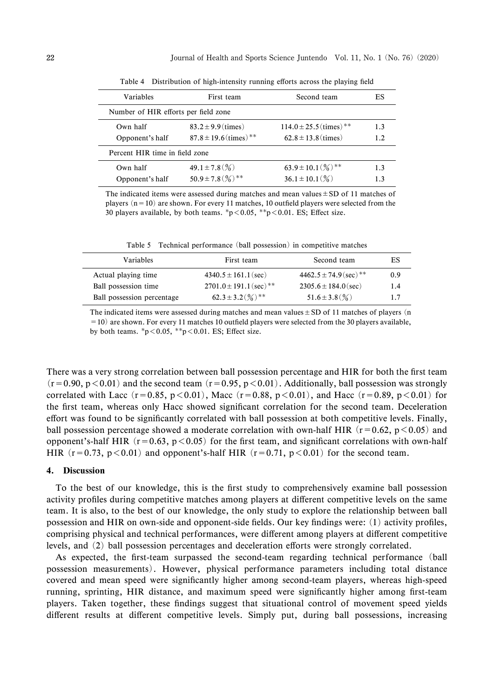| Variables                            | First team                            | Second team                            | ES  |
|--------------------------------------|---------------------------------------|----------------------------------------|-----|
| Number of HIR efforts per field zone |                                       |                                        |     |
| Own half                             | $83.2 \pm 9.9$ (times)                | $114.0 \pm 25.5$ (times) <sup>**</sup> | 1.3 |
| Opponent's half                      | $87.8 \pm 19.6$ (times) <sup>**</sup> | $62.8 \pm 13.8$ (times)                | 1.2 |
| Percent HIR time in field zone       |                                       |                                        |     |
| Own half                             | $49.1 \pm 7.8\ (\%)$                  | $63.9 \pm 10.1(\%)$ **                 | 1.3 |
| Opponent's half                      | $50.9 \pm 7.8(\frac{0}{0})$ **        | $36.1 \pm 10.1\ (\%)$                  | 1.3 |

Table 4 Distribution of high-intensity running efforts across the playing field

The indicated items were assessed during matches and mean values  $\pm$  SD of 11 matches of players  $(n=10)$  are shown. For every 11 matches, 10 outfield players were selected from the 30 players available, by both teams.  $\frac{p}{0.05}$ ,  $\frac{p}{0.01}$ . ES; Effect size.

Table 5 Technical performance (ball possession) in competitive matches

| Variables                  | First team                             | Second team                           | ES  |
|----------------------------|----------------------------------------|---------------------------------------|-----|
| Actual playing time        | $4340.5 \pm 161.1$ (sec)               | $4462.5 \pm 74.9$ (sec) <sup>**</sup> | 0.9 |
| Ball possession time       | $2701.0 \pm 191.1$ (sec) <sup>**</sup> | $2305.6 \pm 184.0$ (sec)              | 1.4 |
| Ball possession percentage | $62.3 \pm 3.2(\%)$ <sup>**</sup>       | $51.6 \pm 3.8\,($ %)                  | 1.7 |
|                            |                                        |                                       |     |

The indicated items were assessed during matches and mean values  $\pm$  SD of 11 matches of players (n  $=10$ ) are shown. For every 11 matches 10 outfield players were selected from the 30 players available, by both teams.  ${}^*p<0.05$ ,  ${}^*p<0.01$ . ES; Effect size.

There was a very strong correlation between ball possession percentage and HIR for both the first team  $(r=0.90, p<0.01)$  and the second team  $(r=0.95, p<0.01)$ . Additionally, ball possession was strongly correlated with Lacc (r=0.85, p <0.01), Macc (r=0.88, p <0.01), and Hacc (r=0.89, p <0.01) for the first team, whereas only Hacc showed significant correlation for the second team. Deceleration effort was found to be significantly correlated with ball possession at both competitive levels. Finally, ball possession percentage showed a moderate correlation with own-half HIR  $(r=0.62, p<0.05)$  and opponent's-half HIR ( $r = 0.63$ ,  $p < 0.05$ ) for the first team, and significant correlations with own-half HIR  $(r=0.73, p<0.01)$  and opponent's-half HIR  $(r=0.71, p<0.01)$  for the second team.

### 4. Discussion

To the best of our knowledge, this is the first study to comprehensively examine ball possession activity profiles during competitive matches among players at different competitive levels on the same team. It is also, to the best of our knowledge, the only study to explore the relationship between ball possession and HIR on own-side and opponent-side fields. Our key findings were:  $(1)$  activity profiles, comprising physical and technical performances, were different among players at different competitive levels, and  $(2)$  ball possession percentages and deceleration efforts were strongly correlated.

As expected, the first-team surpassed the second-team regarding technical performance (ball possession measurements). However, physical performance parameters including total distance covered and mean speed were significantly higher among second-team players, whereas high-speed running, sprinting, HIR distance, and maximum speed were significantly higher among first-team players. Taken together, these findings suggest that situational control of movement speed yields different results at different competitive levels. Simply put, during ball possessions, increasing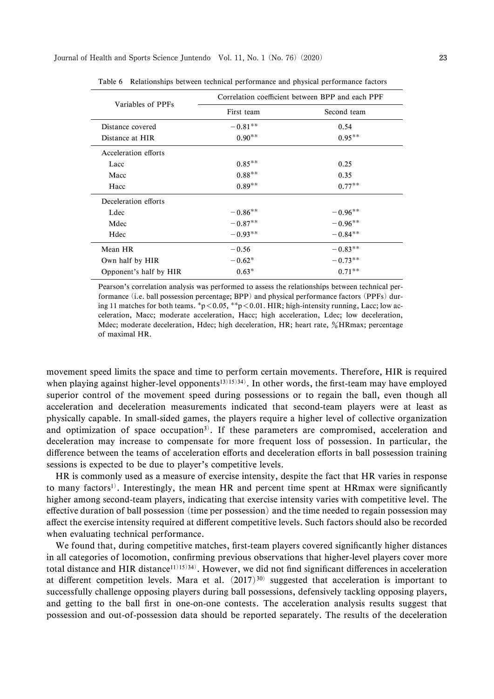| Variables of PPFs      | Correlation coefficient between BPP and each PPF |             |
|------------------------|--------------------------------------------------|-------------|
|                        | First team                                       | Second team |
| Distance covered       | $-0.81**$                                        | 0.54        |
| Distance at HIR        | $0.90**$                                         | $0.95***$   |
| Acceleration efforts   |                                                  |             |
| Lacc                   | $0.85**$                                         | 0.25        |
| Macc                   | $0.88**$                                         | 0.35        |
| Hacc                   | $0.89**$                                         | $0.77**$    |
| Deceleration efforts   |                                                  |             |
| Ldec                   | $-0.86**$                                        | $-0.96**$   |
| Mdec                   | $-0.87**$                                        | $-0.96**$   |
| Hdec                   | $-0.93**$                                        | $-0.84**$   |
| Mean HR                | $-0.56$                                          | $-0.83**$   |
| Own half by HIR        | $-0.62*$                                         | $-0.73**$   |
| Opponent's half by HIR | $0.63*$                                          | $0.71**$    |

Table 6 Relationships between technical performance and physical performance factors

Pearson's correlation analysis was performed to assess the relationships between technical performance (i.e. ball possession percentage; BPP) and physical performance factors (PPFs) during 11 matches for both teams.  $p<0.05$ ,  $p<0.01$ . HIR; high-intensity running, Lacc; low acceleration, Macc; moderate acceleration, Hacc; high acceleration, Ldec; low deceleration, Mdec; moderate deceleration, Hdec; high deceleration, HR; heart rate,  $\frac{6}{3}$ HRmax; percentage of maximal HR.

movement speed limits the space and time to perform certain movements. Therefore, HIR is required when playing against higher-level opponents<sup>13)15)34)</sup>. In other words, the first-team may have employed superior control of the movement speed during possessions or to regain the ball, even though all acceleration and deceleration measurements indicated that second-team players were at least as physically capable. In small-sided games, the players require a higher level of collective organization and optimization of space occupation<sup>3)</sup>. If these parameters are compromised, acceleration and deceleration may increase to compensate for more frequent loss of possession. In particular, the difference between the teams of acceleration efforts and deceleration efforts in ball possession training sessions is expected to be due to player's competitive levels.

HR is commonly used as a measure of exercise intensity, despite the fact that HR varies in response to many factors<sup>1)</sup>. Interestingly, the mean HR and percent time spent at HRmax were significantly higher among second-team players, indicating that exercise intensity varies with competitive level. The effective duration of ball possession (time per possession) and the time needed to regain possession may affect the exercise intensity required at different competitive levels. Such factors should also be recorded when evaluating technical performance.

We found that, during competitive matches, first-team players covered significantly higher distances in all categories of locomotion, confirming previous observations that higher-level players cover more total distance and HIR distance<sup>11)15</sup>)<sup>34</sup>). However, we did not find significant differences in acceleration at different competition levels. Mara et al.  $(2017)^{30}$  suggested that acceleration is important to successfully challenge opposing players during ball possessions, defensively tackling opposing players, and getting to the ball first in one-on-one contests. The acceleration analysis results suggest that possession and out-of-possession data should be reported separately. The results of the deceleration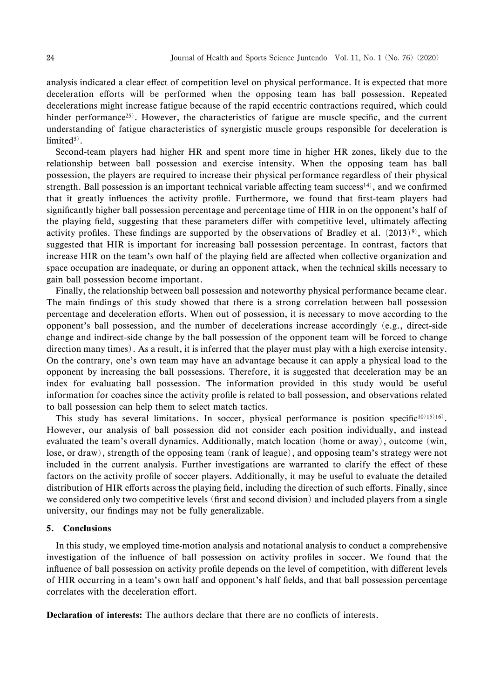analysis indicated a clear effect of competition level on physical performance. It is expected that more deceleration efforts will be performed when the opposing team has ball possession. Repeated decelerations might increase fatigue because of the rapid eccentric contractions required, which could hinder performance<sup>25)</sup>. However, the characteristics of fatigue are muscle specific, and the current understanding of fatigue characteristics of synergistic muscle groups responsible for deceleration is  $limited<sup>5</sup>$ .

Second-team players had higher HR and spent more time in higher HR zones, likely due to the relationship between ball possession and exercise intensity. When the opposing team has ball possession, the players are required to increase their physical performance regardless of their physical strength. Ball possession is an important technical variable affecting team success<sup>14)</sup>, and we confirmed that it greatly influences the activity profile. Furthermore, we found that first-team players had significantly higher ball possession percentage and percentage time of HIR in on the opponent's half of the playing field, suggesting that these parameters differ with competitive level, ultimately affecting activity profiles. These findings are supported by the observations of Bradley et al.  $(2013)^9$ , which suggested that HIR is important for increasing ball possession percentage. In contrast, factors that increase HIR on the team's own half of the playing field are affected when collective organization and space occupation are inadequate, or during an opponent attack, when the technical skills necessary to gain ball possession become important.

Finally, the relationship between ball possession and noteworthy physical performance became clear. The main findings of this study showed that there is a strong correlation between ball possession percentage and deceleration efforts. When out of possession, it is necessary to move according to the opponent's ball possession, and the number of decelerations increase accordingly (e.g., direct-side change and indirect-side change by the ball possession of the opponent team will be forced to change direction many times). As a result, it is inferred that the player must play with a high exercise intensity. On the contrary, one's own team may have an advantage because it can apply a physical load to the opponent by increasing the ball possessions. Therefore, it is suggested that deceleration may be an index for evaluating ball possession. The information provided in this study would be useful information for coaches since the activity profile is related to ball possession, and observations related to ball possession can help them to select match tactics.

This study has several limitations. In soccer, physical performance is position specific<sup>10)15)16</sup>. However, our analysis of ball possession did not consider each position individually, and instead evaluated the team's overall dynamics. Additionally, match location (home or away), outcome (win, lose, or draw), strength of the opposing team (rank of league), and opposing team's strategy were not included in the current analysis. Further investigations are warranted to clarify the effect of these factors on the activity profile of soccer players. Additionally, it may be useful to evaluate the detailed distribution of HIR efforts across the playing field, including the direction of such efforts. Finally, since we considered only two competitive levels (first and second division) and included players from a single university, our findings may not be fully generalizable.

#### 5. Conclusions

In this study, we employed time-motion analysis and notational analysis to conduct a comprehensive investigation of the influence of ball possession on activity profiles in soccer. We found that the influence of ball possession on activity profile depends on the level of competition, with different levels of HIR occurring in a team's own half and opponent's half ˆelds, and that ball possession percentage correlates with the deceleration effort.

Declaration of interests: The authors declare that there are no conflicts of interests.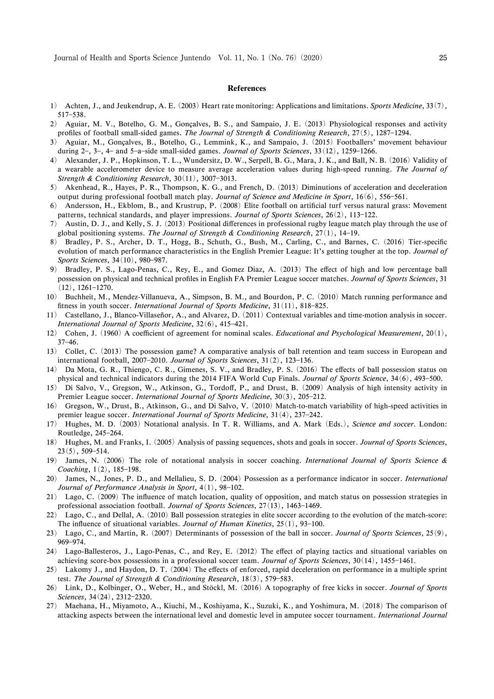#### References

- 1) Achten, J., and Jeukendrup, A. E. (2003) Heart rate monitoring: Applications and limitations. Sports Medicine, 33(7), 517-538.
- 2) Aguiar, M. V., Botelho, G. M., Gonçalves, B. S., and Sampaio, J. E. (2013) Physiological responses and activity profiles of football small-sided games. The Journal of Strength & Conditioning Research,  $27(5)$ , 1287–1294.
- 3) Aguiar, M., Goncalves, B., Botelho, G., Lemmink, K., and Sampaio, J. º (2015) Footballers' movement behaviour during  $2-$ ,  $3-$ ,  $4-$  and  $5-a$ -side small-sided games. *Journal of Sports Sciences*,  $33(12)$ ,  $1259-1266$ .
- 4) Alexander, J. P., Hopkinson, T. L., Wundersitz, D. W., Serpell, B. G., Mara, J. K., and Ball, N. B. (2016) Validity of a wearable accelerometer device to measure average acceleration values during high-speed running. The Journal of Strength & Conditioning Research,  $30(11)$ ,  $3007-3013$ .
- 5) Akenhead, R., Hayes, P. R., Thompson, K. G., and French, D. (2013) Diminutions of acceleration and deceleration output during professional football match play. Journal of Science and Medicine in Sport, 16(6), 556-561.
- 6) Andersson, H., Ekblom, B., and Krustrup, P. (2008) Elite football on artificial turf versus natural grass: Movement patterns, technical standards, and player impressions. Journal of Sports Sciences,  $26(2)$ , 113-122.
- 7) Austin, D. J., and Kelly, S. J. (2013) Positional differences in professional rugby league match play through the use of global positioning systems. The Journal of Strength & Conditioning Research,  $27(1)$ , 14-19.
- 8) Bradley, P. S., Archer, D. T., Hogg, B., Schuth, G., Bush, M., Carling, C., and Barnes, C. (2016) Tier-specific evolution of match performance characteristics in the English Premier League: It's getting tougher at the top. Journal of Sports Sciences,  $34(10)$ , 980-987.
- 9) Bradley, P. S., Lago-Penas, C., Rey, E., and Gomez Diaz, A. (2013) The effect of high and low percentage ball possession on physical and technical profiles in English FA Premier League soccer matches. Journal of Sports Sciences, 31  $(12)$ , 1261-1270.
- 10) Buchheit, M., Mendez-Villanueva, A., Simpson, B. M., and Bourdon, P. C. (2010) Match running performance and fitness in youth soccer. International Journal of Sports Medicine,  $31(11)$ ,  $818-825$ .
- 11) Castellano, J., Blanco-Villaseñor, A., and Alvarez, D. (2011) Contextual variables and time-motion analysis in soccer. International Journal of Sports Medicine,  $32(6)$ ,  $415-421$ .
- 12) Cohen, J. (1960) A coefficient of agreement for nominal scales. *Educational and Psychological Measurement*,  $20(1)$ ,  $37 - 46$ .
- 13) Collet, C. (2013) The possession game? A comparative analysis of ball retention and team success in European and international football, 2007-2010. Journal of Sports Sciences,  $31(2)$ , 123-136.
- 14) Da Mota, G. R., Thiengo, C. R., Gimenes, S. V., and Bradley, P. S. (2016) The effects of ball possession status on physical and technical indicators during the 2014 FIFA World Cup Finals. Journal of Sports Science, 34(6), 493-500.
- 15) Di Salvo, V., Gregson, W., Atkinson, G., Tordoff, P., and Drust, B. (2009) Analysis of high intensity activity in Premier League soccer. International Journal of Sports Medicine, 30(3), 205-212.
- 16) Gregson, W., Drust, B., Atkinson, G., and Di Salvo, V. (2010) Match-to-match variability of high-speed activities in premier league soccer. International Journal of Sports Medicine,  $31(4)$ ,  $237-242$ .
- 17) Hughes, M. D. (2003) Notational analysis. In T. R. Williams, and A. Mark (Eds.), Science and soccer. London: Routledge, 245-264.
- 18) Hughes, M. and Franks, I. (2005) Analysis of passing sequences, shots and goals in soccer. Journal of Sports Sciences,  $23(5)$ , 509-514.
- 19) James, N. (2006) The role of notational analysis in soccer coaching. International Journal of Sports Science & Coaching,  $1(2)$ ,  $185-198$ .
- 20) James, N., Jones, P. D., and Mellalieu, S. D. (2004) Possession as a performance indicator in soccer. International Journal of Performance Analysis in Sport,  $4(1)$ , 98-102.
- 21) Lago, C. (2009) The influence of match location, quality of opposition, and match status on possession strategies in professional association football. Journal of Sports Sciences,  $27(13)$ , 1463-1469.
- 22) Lago, C., and Dellal, A. (2010) Ball possession strategies in elite soccer according to the evolution of the match-score: The influence of situational variables. Journal of Human Kinetics,  $25(1)$ ,  $93-100$ .
- 23) Lago, C., and Martin, R. (2007) Determinants of possession of the ball in soccer. Journal of Sports Sciences,  $25(9)$ , 969-974.
- 24) Lago-Ballesteros, J., Lago-Penas, C., and Rey, E. (2012) The effect of playing tactics and situational variables on achieving score-box possessions in a professional soccer team. Journal of Sports Sciences,  $30(14)$ ,  $1455-1461$ .
- 25) Lakomy J., and Haydon, D. T. (2004) The effects of enforced, rapid deceleration on performance in a multiple sprint test. The Journal of Strength & Conditioning Research,  $18(3)$ , 579-583.
- 26) Link, D., Kolbinger, O., Weber, H., and Stöckl, M. (2016) A topography of free kicks in soccer. Journal of Sports Sciences, 34(24), 2312-2320.
- 27) Maehana, H., Miyamoto, A., Kiuchi, M., Koshiyama, K., Suzuki, K., and Yoshimura, M. (2018) The comparison of attacking aspects between the international level and domestic level in amputee soccer tournament. International Journal